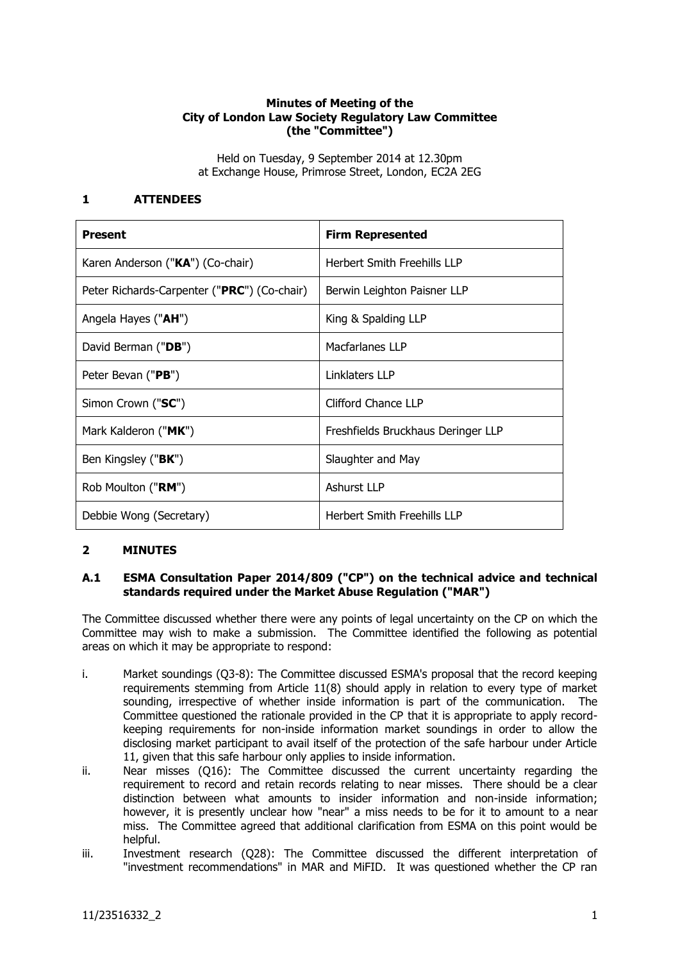## **Minutes of Meeting of the City of London Law Society Regulatory Law Committee (the "Committee")**

Held on Tuesday, 9 September 2014 at 12.30pm at Exchange House, Primrose Street, London, EC2A 2EG

# **1 ATTENDEES**

| <b>Present</b>                              | <b>Firm Represented</b>            |
|---------------------------------------------|------------------------------------|
| Karen Anderson ("KA") (Co-chair)            | <b>Herbert Smith Freehills LLP</b> |
| Peter Richards-Carpenter ("PRC") (Co-chair) | Berwin Leighton Paisner LLP        |
| Angela Hayes (" <b>AH</b> ")                | King & Spalding LLP                |
| David Berman (" <b>DB</b> ")                | Macfarlanes LLP                    |
| Peter Bevan (" <b>PB</b> ")                 | Linklaters LLP                     |
| Simon Crown ("SC")                          | Clifford Chance LLP                |
| Mark Kalderon ("MK")                        | Freshfields Bruckhaus Deringer LLP |
| Ben Kingsley (" <b>BK</b> ")                | Slaughter and May                  |
| Rob Moulton (" <b>RM</b> ")                 | <b>Ashurst LLP</b>                 |
| Debbie Wong (Secretary)                     | <b>Herbert Smith Freehills LLP</b> |

## **2 MINUTES**

## **A.1 ESMA Consultation Paper 2014/809 ("CP") on the technical advice and technical standards required under the Market Abuse Regulation ("MAR")**

The Committee discussed whether there were any points of legal uncertainty on the CP on which the Committee may wish to make a submission. The Committee identified the following as potential areas on which it may be appropriate to respond:

- i. Market soundings (Q3-8): The Committee discussed ESMA's proposal that the record keeping requirements stemming from Article 11(8) should apply in relation to every type of market sounding, irrespective of whether inside information is part of the communication. The Committee questioned the rationale provided in the CP that it is appropriate to apply recordkeeping requirements for non-inside information market soundings in order to allow the disclosing market participant to avail itself of the protection of the safe harbour under Article 11, given that this safe harbour only applies to inside information.
- ii. Near misses (Q16): The Committee discussed the current uncertainty regarding the requirement to record and retain records relating to near misses. There should be a clear distinction between what amounts to insider information and non-inside information; however, it is presently unclear how "near" a miss needs to be for it to amount to a near miss. The Committee agreed that additional clarification from ESMA on this point would be helpful.
- iii. Investment research (Q28): The Committee discussed the different interpretation of "investment recommendations" in MAR and MiFID. It was questioned whether the CP ran